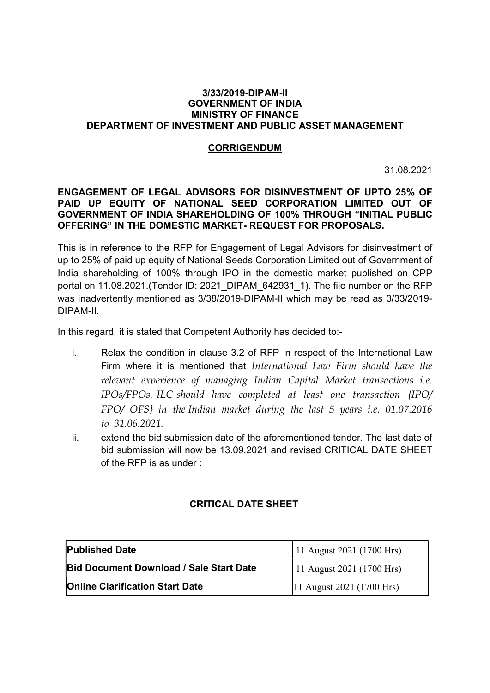## 3/33/2019-DIPAM-II GOVERNMENT OF INDIA MINISTRY OF FINANCE DEPARTMENT OF INVESTMENT AND PUBLIC ASSET MANAGEMENT

## **CORRIGENDUM**

31.08.2021

## ENGAGEMENT OF LEGAL ADVISORS FOR DISINVESTMENT OF UPTO 25% OF PAID UP EQUITY OF NATIONAL SEED CORPORATION LIMITED OUT OF GOVERNMENT OF INDIA SHAREHOLDING OF 100% THROUGH "INITIAL PUBLIC OFFERING" IN THE DOMESTIC MARKET- REQUEST FOR PROPOSALS.

This is in reference to the RFP for Engagement of Legal Advisors for disinvestment of up to 25% of paid up equity of National Seeds Corporation Limited out of Government of India shareholding of 100% through IPO in the domestic market published on CPP portal on 11.08.2021.(Tender ID: 2021 DIPAM 642931 1). The file number on the RFP was inadvertently mentioned as 3/38/2019-DIPAM-II which may be read as 3/33/2019- DIPAM-II.

In this regard, it is stated that Competent Authority has decided to:-

- i. Relax the condition in clause 3.2 of RFP in respect of the International Law Firm where it is mentioned that International Law Firm should have the relevant experience of managing Indian Capital Market transactions i.e. IPOs/FPOs. ILC should have completed at least one transaction {IPO/ FPO/ OFS} in the Indian market during the last 5 years i.e. 01.07.2016 to 31.06.2021.
- ii. extend the bid submission date of the aforementioned tender. The last date of bid submission will now be 13.09.2021 and revised CRITICAL DATE SHEET of the RFP is as under :

## CRITICAL DATE SHEET

| <b>Published Date</b>                          | 11 August 2021 (1700 Hrs) |
|------------------------------------------------|---------------------------|
| <b>Bid Document Download / Sale Start Date</b> | 11 August 2021 (1700 Hrs) |
| <b>Online Clarification Start Date</b>         | 11 August 2021 (1700 Hrs) |